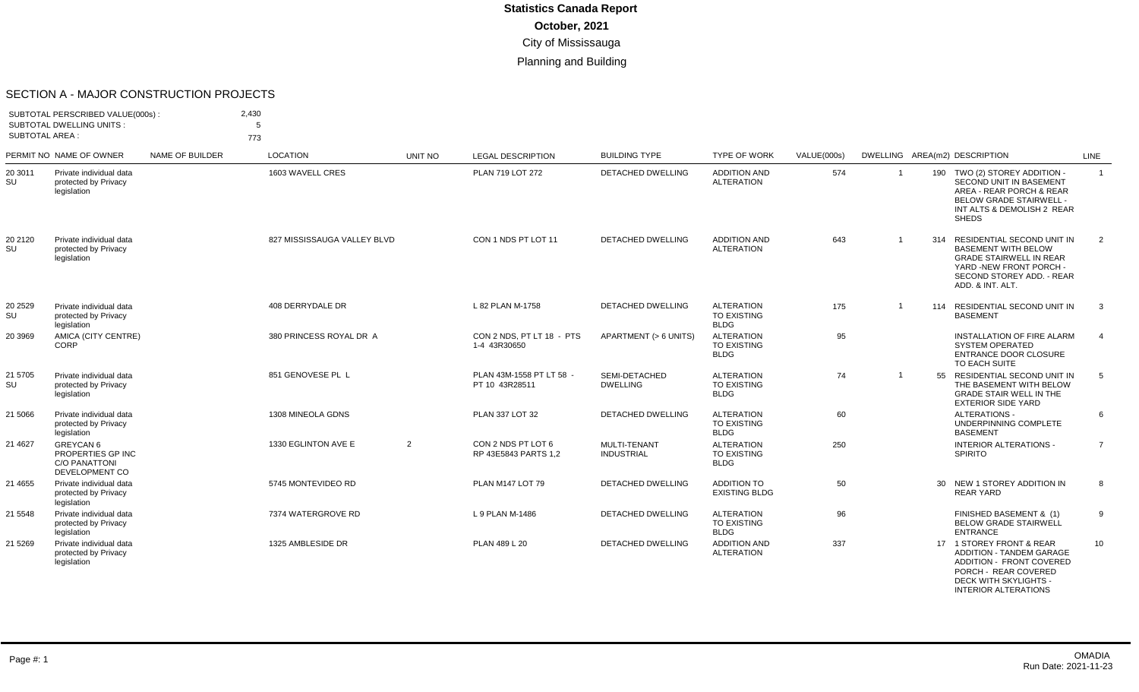#### SECTION A - MAJOR CONSTRUCTION PROJECTS

| <b>SUBTOTAL AREA:</b> | SUBTOTAL PERSCRIBED VALUE(000s):<br><b>SUBTOTAL DWELLING UNITS:</b>      |                 | 2,430<br>5<br>773           |         |                                            |                                   |                                                        |                    |                |                                                                                                                                                                               |                |
|-----------------------|--------------------------------------------------------------------------|-----------------|-----------------------------|---------|--------------------------------------------|-----------------------------------|--------------------------------------------------------|--------------------|----------------|-------------------------------------------------------------------------------------------------------------------------------------------------------------------------------|----------------|
|                       | PERMIT NO NAME OF OWNER                                                  | NAME OF BUILDER | <b>LOCATION</b>             | UNIT NO | <b>LEGAL DESCRIPTION</b>                   | <b>BUILDING TYPE</b>              | <b>TYPE OF WORK</b>                                    | <b>VALUE(000s)</b> |                | DWELLING AREA(m2) DESCRIPTION                                                                                                                                                 | LINE           |
| 20 3011<br>SU         | Private individual data<br>protected by Privacy<br>legislation           |                 | 1603 WAVELL CRES            |         | PLAN 719 LOT 272                           | DETACHED DWELLING                 | <b>ADDITION AND</b><br><b>ALTERATION</b>               | 574                | $\overline{1}$ | 190 TWO (2) STOREY ADDITION -<br><b>SECOND UNIT IN BASEMENT</b><br>AREA - REAR PORCH & REAR<br><b>BELOW GRADE STAIRWELL -</b><br>INT ALTS & DEMOLISH 2 REAR<br><b>SHEDS</b>   | $\overline{1}$ |
| 20 2120<br>SU         | Private individual data<br>protected by Privacy<br>legislation           |                 | 827 MISSISSAUGA VALLEY BLVD |         | CON 1 NDS PT LOT 11                        | <b>DETACHED DWELLING</b>          | <b>ADDITION AND</b><br><b>ALTERATION</b>               | 643                | $\overline{1}$ | RESIDENTIAL SECOND UNIT IN<br>314<br><b>BASEMENT WITH BELOW</b><br><b>GRADE STAIRWELL IN REAR</b><br>YARD -NEW FRONT PORCH -<br>SECOND STOREY ADD. - REAR<br>ADD. & INT. ALT. | 2              |
| 20 2529<br>SU         | Private individual data<br>protected by Privacy<br>legislation           |                 | 408 DERRYDALE DR            |         | L 82 PLAN M-1758                           | <b>DETACHED DWELLING</b>          | <b>ALTERATION</b><br><b>TO EXISTING</b><br><b>BLDG</b> | 175                | $\overline{1}$ | 114 RESIDENTIAL SECOND UNIT IN<br><b>BASEMENT</b>                                                                                                                             | $\mathbf{3}$   |
| 20 3969               | AMICA (CITY CENTRE)<br>CORP                                              |                 | 380 PRINCESS ROYAL DR A     |         | CON 2 NDS, PT LT 18 - PTS<br>1-4 43R30650  | APARTMENT (> 6 UNITS)             | <b>ALTERATION</b><br><b>TO EXISTING</b><br><b>BLDG</b> | 95                 |                | INSTALLATION OF FIRE ALARM<br><b>SYSTEM OPERATED</b><br>ENTRANCE DOOR CLOSURE<br>TO EACH SUITE                                                                                | $\overline{4}$ |
| 21 5705<br>SU         | Private individual data<br>protected by Privacy<br>legislation           |                 | 851 GENOVESE PL L           |         | PLAN 43M-1558 PT LT 58 -<br>PT 10 43R28511 | SEMI-DETACHED<br><b>DWELLING</b>  | <b>ALTERATION</b><br><b>TO EXISTING</b><br><b>BLDG</b> | 74                 | $\overline{1}$ | 55<br>RESIDENTIAL SECOND UNIT IN<br>THE BASEMENT WITH BELOW<br><b>GRADE STAIR WELL IN THE</b><br><b>EXTERIOR SIDE YARD</b>                                                    | 5              |
| 21 5066               | Private individual data<br>protected by Privacy<br>legislation           |                 | 1308 MINEOLA GDNS           |         | PLAN 337 LOT 32                            | <b>DETACHED DWELLING</b>          | <b>ALTERATION</b><br><b>TO EXISTING</b><br><b>BLDG</b> | 60                 |                | <b>ALTERATIONS -</b><br>UNDERPINNING COMPLETE<br><b>BASEMENT</b>                                                                                                              | 6              |
| 21 4627               | GREYCAN 6<br>PROPERTIES GP INC<br><b>C/O PANATTONI</b><br>DEVELOPMENT CO |                 | 1330 EGLINTON AVE E         | 2       | CON 2 NDS PT LOT 6<br>RP 43E5843 PARTS 1.2 | MULTI-TENANT<br><b>INDUSTRIAL</b> | <b>ALTERATION</b><br><b>TO EXISTING</b><br><b>BLDG</b> | 250                |                | <b>INTERIOR ALTERATIONS -</b><br><b>SPIRITO</b>                                                                                                                               | $\overline{7}$ |
| 21 4655               | Private individual data<br>protected by Privacy<br>legislation           |                 | 5745 MONTEVIDEO RD          |         | PLAN M147 LOT 79                           | <b>DETACHED DWELLING</b>          | <b>ADDITION TO</b><br><b>EXISTING BLDG</b>             | 50                 |                | 30 NEW 1 STOREY ADDITION IN<br><b>REAR YARD</b>                                                                                                                               | 8              |
| 21 5548               | Private individual data<br>protected by Privacy<br>legislation           |                 | 7374 WATERGROVE RD          |         | L 9 PLAN M-1486                            | <b>DETACHED DWELLING</b>          | <b>ALTERATION</b><br>TO EXISTING<br><b>BLDG</b>        | 96                 |                | FINISHED BASEMENT & (1)<br><b>BELOW GRADE STAIRWELL</b><br>ENTRANCE                                                                                                           | 9              |
| 21 5269               | Private individual data<br>protected by Privacy<br>legislation           |                 | 1325 AMBLESIDE DR           |         | PLAN 489 L 20                              | DETACHED DWELLING                 | <b>ADDITION AND</b><br><b>ALTERATION</b>               | 337                |                | 17 1 STOREY FRONT & REAR<br>ADDITION - TANDEM GARAGE<br><b>ADDITION - FRONT COVERED</b><br>PORCH - REAR COVERED<br>DECK WITH SKYLIGHTS -                                      | 10             |

INTERIOR ALTERATIONS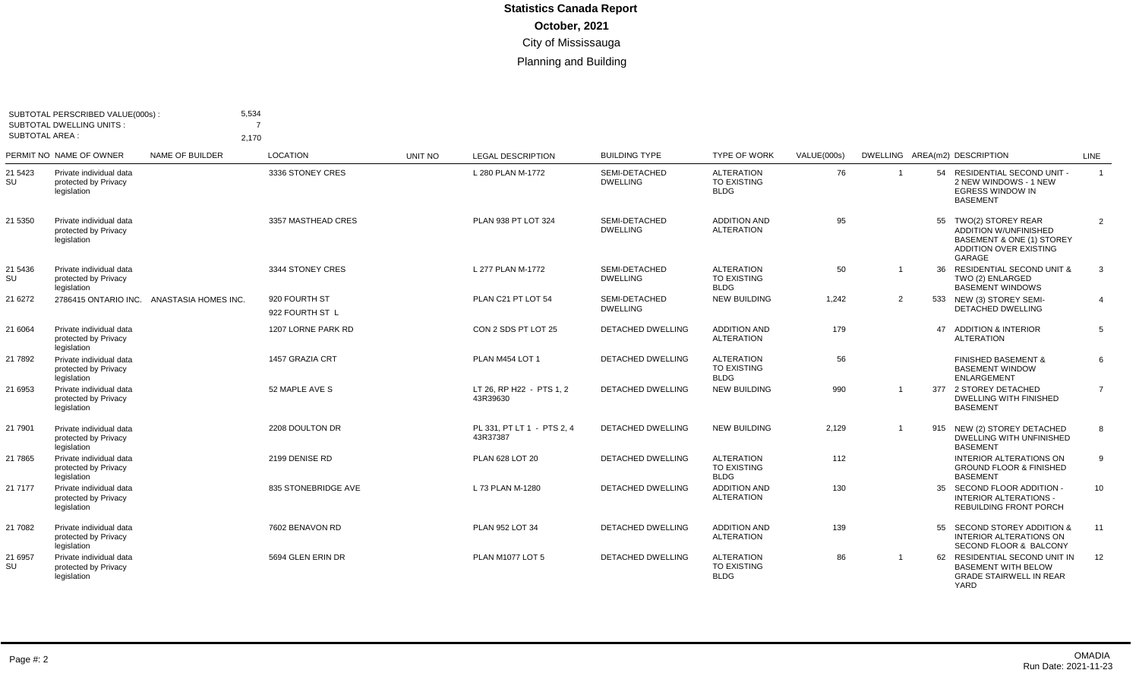| <b>SUBTOTAL AREA:</b> | SUBTOTAL PERSCRIBED VALUE(000s):<br><b>SUBTOTAL DWELLING UNITS:</b> | 5,534<br>2.170         | 7                                |         |                                        |                                  |                                                        |             |                |    |                                                                                                                               |                |
|-----------------------|---------------------------------------------------------------------|------------------------|----------------------------------|---------|----------------------------------------|----------------------------------|--------------------------------------------------------|-------------|----------------|----|-------------------------------------------------------------------------------------------------------------------------------|----------------|
|                       | PERMIT NO NAME OF OWNER                                             | <b>NAME OF BUILDER</b> | <b>LOCATION</b>                  | UNIT NO | <b>LEGAL DESCRIPTION</b>               | <b>BUILDING TYPE</b>             | <b>TYPE OF WORK</b>                                    | VALUE(000s) |                |    | DWELLING AREA(m2) DESCRIPTION                                                                                                 | LINE           |
| 21 5423<br>SU         | Private individual data<br>protected by Privacy<br>legislation      |                        | 3336 STONEY CRES                 |         | L 280 PLAN M-1772                      | SEMI-DETACHED<br><b>DWELLING</b> | <b>ALTERATION</b><br><b>TO EXISTING</b><br><b>BLDG</b> | 76          | $\overline{1}$ |    | 54 RESIDENTIAL SECOND UNIT -<br>2 NEW WINDOWS - 1 NEW<br><b>EGRESS WINDOW IN</b><br><b>BASEMENT</b>                           | $\overline{1}$ |
| 21 5350               | Private individual data<br>protected by Privacy<br>legislation      |                        | 3357 MASTHEAD CRES               |         | PLAN 938 PT LOT 324                    | SEMI-DETACHED<br><b>DWELLING</b> | <b>ADDITION AND</b><br><b>ALTERATION</b>               | 95          |                |    | 55 TWO(2) STOREY REAR<br><b>ADDITION W/UNFINISHED</b><br>BASEMENT & ONE (1) STOREY<br><b>ADDITION OVER EXISTING</b><br>GARAGE | $\overline{2}$ |
| 21 5436<br>SU         | Private individual data<br>protected by Privacy<br>legislation      |                        | 3344 STONEY CRES                 |         | L 277 PLAN M-1772                      | SEMI-DETACHED<br><b>DWELLING</b> | <b>ALTERATION</b><br><b>TO EXISTING</b><br><b>BLDG</b> | 50          | $\mathbf 1$    |    | 36 RESIDENTIAL SECOND UNIT &<br>TWO (2) ENLARGED<br><b>BASEMENT WINDOWS</b>                                                   | 3              |
| 21 6272               | 2786415 ONTARIO INC.                                                | ANASTASIA HOMES INC.   | 920 FOURTH ST<br>922 FOURTH ST L |         | PLAN C21 PT LOT 54                     | SEMI-DETACHED<br><b>DWELLING</b> | <b>NEW BUILDING</b>                                    | 1.242       | 2              |    | 533 NEW (3) STOREY SEMI-<br><b>DETACHED DWELLING</b>                                                                          | $\overline{4}$ |
| 21 6064               | Private individual data<br>protected by Privacy<br>legislation      |                        | 1207 LORNE PARK RD               |         | CON 2 SDS PT LOT 25                    | <b>DETACHED DWELLING</b>         | <b>ADDITION AND</b><br><b>ALTERATION</b>               | 179         |                | 47 | <b>ADDITION &amp; INTERIOR</b><br><b>ALTERATION</b>                                                                           | 5              |
| 21 7892               | Private individual data<br>protected by Privacy<br>legislation      |                        | 1457 GRAZIA CRT                  |         | PLAN M454 LOT 1                        | DETACHED DWELLING                | <b>ALTERATION</b><br><b>TO EXISTING</b><br><b>BLDG</b> | 56          |                |    | <b>FINISHED BASEMENT &amp;</b><br><b>BASEMENT WINDOW</b><br><b>ENLARGEMENT</b>                                                | 6              |
| 21 6953               | Private individual data<br>protected by Privacy<br>legislation      |                        | 52 MAPLE AVE S                   |         | LT 26, RP H22 - PTS 1, 2<br>43R39630   | <b>DETACHED DWELLING</b>         | <b>NEW BUILDING</b>                                    | 990         |                |    | 377 2 STOREY DETACHED<br>DWELLING WITH FINISHED<br><b>BASEMENT</b>                                                            | $\overline{7}$ |
| 21 7901               | Private individual data<br>protected by Privacy<br>legislation      |                        | 2208 DOULTON DR                  |         | PL 331, PT LT 1 - PTS 2, 4<br>43R37387 | <b>DETACHED DWELLING</b>         | <b>NEW BUILDING</b>                                    | 2,129       |                |    | 915 NEW (2) STOREY DETACHED<br><b>DWELLING WITH UNFINISHED</b><br><b>BASEMENT</b>                                             | 8              |
| 21 7865               | Private individual data<br>protected by Privacy<br>legislation      |                        | 2199 DENISE RD                   |         | PLAN 628 LOT 20                        | <b>DETACHED DWELLING</b>         | <b>ALTERATION</b><br><b>TO EXISTING</b><br><b>BLDG</b> | 112         |                |    | <b>INTERIOR ALTERATIONS ON</b><br><b>GROUND FLOOR &amp; FINISHED</b><br><b>BASEMENT</b>                                       | 9              |
| 21 7177               | Private individual data<br>protected by Privacy<br>legislation      |                        | 835 STONEBRIDGE AVE              |         | L 73 PLAN M-1280                       | DETACHED DWELLING                | <b>ADDITION AND</b><br><b>ALTERATION</b>               | 130         |                |    | 35 SECOND FLOOR ADDITION -<br><b>INTERIOR ALTERATIONS -</b><br><b>REBUILDING FRONT PORCH</b>                                  | 10             |
| 21 7082               | Private individual data<br>protected by Privacy<br>legislation      |                        | 7602 BENAVON RD                  |         | PLAN 952 LOT 34                        | DETACHED DWELLING                | <b>ADDITION AND</b><br><b>ALTERATION</b>               | 139         |                |    | 55 SECOND STOREY ADDITION &<br><b>INTERIOR ALTERATIONS ON</b><br>SECOND FLOOR & BALCONY                                       | 11             |
| 21 6957<br>SU         | Private individual data<br>protected by Privacy<br>legislation      |                        | 5694 GLEN ERIN DR                |         | PLAN M1077 LOT 5                       | <b>DETACHED DWELLING</b>         | <b>ALTERATION</b><br><b>TO EXISTING</b><br><b>BLDG</b> | 86          | $\overline{1}$ |    | 62 RESIDENTIAL SECOND UNIT IN<br><b>BASEMENT WITH BELOW</b><br><b>GRADE STAIRWELL IN REAR</b><br>YARD                         | 12             |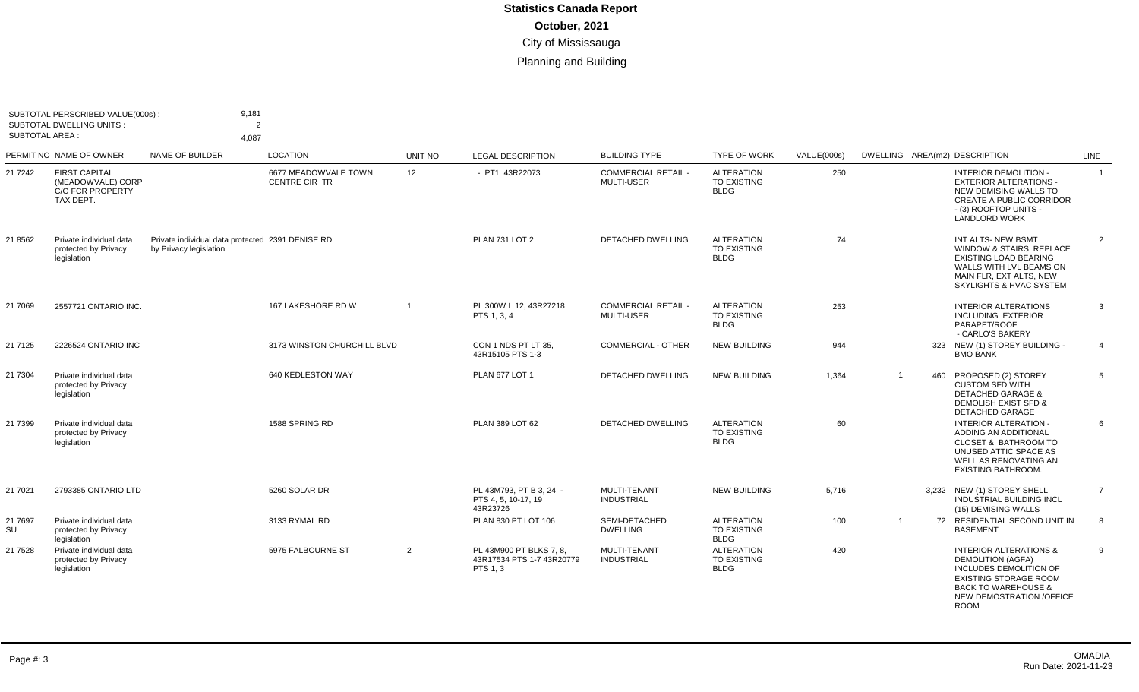| <b>SUBTOTAL AREA:</b> | SUBTOTAL PERSCRIBED VALUE(000s):<br><b>SUBTOTAL DWELLING UNITS:</b>               | 9,181<br>$\overline{2}$<br>4,087                                           |                                              |                |                                                                  |                                               |                                                        |             |                |     |                                                                                                                                                                                                             |                |
|-----------------------|-----------------------------------------------------------------------------------|----------------------------------------------------------------------------|----------------------------------------------|----------------|------------------------------------------------------------------|-----------------------------------------------|--------------------------------------------------------|-------------|----------------|-----|-------------------------------------------------------------------------------------------------------------------------------------------------------------------------------------------------------------|----------------|
|                       | PERMIT NO NAME OF OWNER                                                           | NAME OF BUILDER                                                            | <b>LOCATION</b>                              | UNIT NO        | <b>LEGAL DESCRIPTION</b>                                         | <b>BUILDING TYPE</b>                          | <b>TYPE OF WORK</b>                                    | VALUE(000s) |                |     | DWELLING AREA(m2) DESCRIPTION                                                                                                                                                                               | LINE           |
| 21 7 24 2             | <b>FIRST CAPITAL</b><br>(MEADOWVALE) CORP<br><b>C/O FCR PROPERTY</b><br>TAX DEPT. |                                                                            | 6677 MEADOWVALE TOWN<br><b>CENTRE CIR TR</b> | 12             | - PT1 43R22073                                                   | <b>COMMERCIAL RETAIL</b><br><b>MULTI-USER</b> | <b>ALTERATION</b><br><b>TO EXISTING</b><br><b>BLDG</b> | 250         |                |     | <b>INTERIOR DEMOLITION -</b><br><b>EXTERIOR ALTERATIONS -</b><br>NEW DEMISING WALLS TO<br><b>CREATE A PUBLIC CORRIDOR</b><br>- (3) ROOFTOP UNITS -<br><b>LANDLORD WORK</b>                                  | $\overline{1}$ |
| 21 8562               | Private individual data<br>protected by Privacy<br>legislation                    | Private individual data protected 2391 DENISE RD<br>by Privacy legislation |                                              |                | <b>PLAN 731 LOT 2</b>                                            | <b>DETACHED DWELLING</b>                      | <b>ALTERATION</b><br>TO EXISTING<br><b>BLDG</b>        | 74          |                |     | INT ALTS- NEW BSMT<br>WINDOW & STAIRS, REPLACE<br><b>EXISTING LOAD BEARING</b><br>WALLS WITH LVL BEAMS ON<br>MAIN FLR, EXT ALTS, NEW<br>SKYLIGHTS & HVAC SYSTEM                                             | 2              |
| 21 7069               | 2557721 ONTARIO INC.                                                              |                                                                            | 167 LAKESHORE RD W                           | $\overline{1}$ | PL 300W L 12, 43R27218<br>PTS 1.3.4                              | <b>COMMERCIAL RETAIL</b><br><b>MULTI-USER</b> | <b>ALTERATION</b><br><b>TO EXISTING</b><br><b>BLDG</b> | 253         |                |     | <b>INTERIOR ALTERATIONS</b><br><b>INCLUDING EXTERIOR</b><br>PARAPET/ROOF<br>- CARLO'S BAKERY                                                                                                                | 3              |
| 21 7125               | 2226524 ONTARIO INC                                                               |                                                                            | 3173 WINSTON CHURCHILL BLVD                  |                | CON 1 NDS PT LT 35.<br>43R15105 PTS 1-3                          | <b>COMMERCIAL - OTHER</b>                     | <b>NEW BUILDING</b>                                    | 944         |                |     | 323 NEW (1) STOREY BUILDING -<br><b>BMO BANK</b>                                                                                                                                                            | $\overline{4}$ |
| 21 7304               | Private individual data<br>protected by Privacy<br>legislation                    |                                                                            | 640 KEDLESTON WAY                            |                | <b>PLAN 677 LOT 1</b>                                            | <b>DETACHED DWELLING</b>                      | <b>NEW BUILDING</b>                                    | 1,364       | $\overline{1}$ | 460 | PROPOSED (2) STOREY<br><b>CUSTOM SFD WITH</b><br><b>DETACHED GARAGE &amp;</b><br>DEMOLISH EXIST SFD &<br><b>DETACHED GARAGE</b>                                                                             | 5              |
| 21 7399               | Private individual data<br>protected by Privacy<br>legislation                    |                                                                            | 1588 SPRING RD                               |                | PLAN 389 LOT 62                                                  | <b>DETACHED DWELLING</b>                      | <b>ALTERATION</b><br><b>TO EXISTING</b><br><b>BLDG</b> | 60          |                |     | <b>INTERIOR ALTERATION -</b><br>ADDING AN ADDITIONAL<br><b>CLOSET &amp; BATHROOM TO</b><br>UNUSED ATTIC SPACE AS<br>WELL AS RENOVATING AN<br>EXISTING BATHROOM.                                             | 6              |
| 21 7021               | 2793385 ONTARIO LTD                                                               |                                                                            | 5260 SOLAR DR                                |                | PL 43M793, PT B 3, 24 -<br>PTS 4, 5, 10-17, 19<br>43R23726       | <b>MULTI-TENANT</b><br><b>INDUSTRIAL</b>      | <b>NEW BUILDING</b>                                    | 5.716       |                |     | 3,232 NEW (1) STOREY SHELL<br>INDUSTRIAL BUILDING INCL<br>(15) DEMISING WALLS                                                                                                                               | $\overline{7}$ |
| 21 7697<br>SU         | Private individual data<br>protected by Privacy<br>legislation                    |                                                                            | 3133 RYMAL RD                                |                | PLAN 830 PT LOT 106                                              | SEMI-DETACHED<br><b>DWELLING</b>              | <b>ALTERATION</b><br>TO EXISTING<br><b>BLDG</b>        | 100         | $\overline{1}$ |     | 72 RESIDENTIAL SECOND UNIT IN<br><b>BASEMENT</b>                                                                                                                                                            | 8              |
| 21 7528               | Private individual data<br>protected by Privacy<br>legislation                    |                                                                            | 5975 FALBOURNE ST                            | 2              | PL 43M900 PT BLKS 7, 8.<br>43R17534 PTS 1-7 43R20779<br>PTS 1, 3 | <b>MULTI-TENANT</b><br><b>INDUSTRIAL</b>      | <b>ALTERATION</b><br>TO EXISTING<br><b>BLDG</b>        | 420         |                |     | <b>INTERIOR ALTERATIONS &amp;</b><br><b>DEMOLITION (AGFA)</b><br><b>INCLUDES DEMOLITION OF</b><br><b>EXISTING STORAGE ROOM</b><br><b>BACK TO WAREHOUSE &amp;</b><br>NEW DEMOSTRATION /OFFICE<br><b>ROOM</b> | -9             |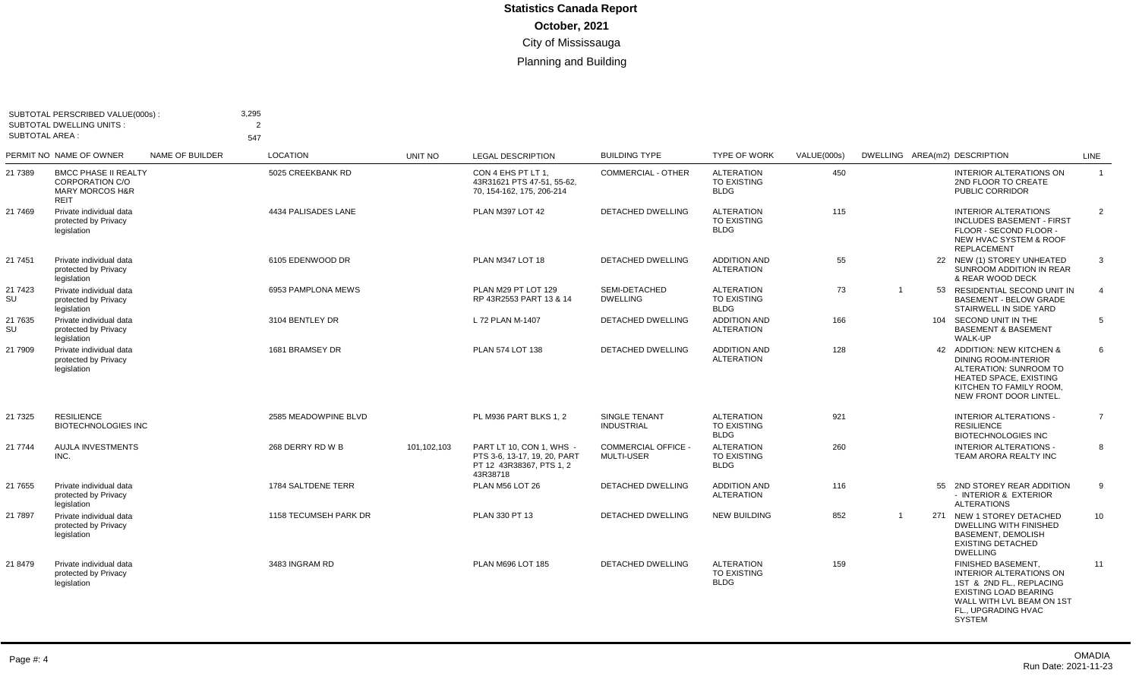| <b>SUBTOTAL AREA:</b> | SUBTOTAL PERSCRIBED VALUE(000s):<br><b>SUBTOTAL DWELLING UNITS:</b>                     |                 | 3,295<br>$\overline{2}$<br>547 |             |                                                                                                  |                                                 |                                                        |             |  |                                                                                                                                                                                       |                |
|-----------------------|-----------------------------------------------------------------------------------------|-----------------|--------------------------------|-------------|--------------------------------------------------------------------------------------------------|-------------------------------------------------|--------------------------------------------------------|-------------|--|---------------------------------------------------------------------------------------------------------------------------------------------------------------------------------------|----------------|
|                       | PERMIT NO NAME OF OWNER                                                                 | NAME OF BUILDER | <b>LOCATION</b>                | UNIT NO     | <b>LEGAL DESCRIPTION</b>                                                                         | <b>BUILDING TYPE</b>                            | <b>TYPE OF WORK</b>                                    | VALUE(000s) |  | DWELLING AREA(m2) DESCRIPTION                                                                                                                                                         | LINE           |
| 21 7389               | <b>BMCC PHASE II REALTY</b><br><b>CORPORATION C/O</b><br>MARY MORCOS H&R<br><b>REIT</b> |                 | 5025 CREEKBANK RD              |             | CON 4 EHS PT LT 1.<br>43R31621 PTS 47-51, 55-62.<br>70, 154-162, 175, 206-214                    | <b>COMMERCIAL - OTHER</b>                       | <b>ALTERATION</b><br><b>TO EXISTING</b><br><b>BLDG</b> | 450         |  | INTERIOR ALTERATIONS ON<br>2ND FLOOR TO CREATE<br>PUBLIC CORRIDOR                                                                                                                     | $\overline{1}$ |
| 21 7469               | Private individual data<br>protected by Privacy<br>legislation                          |                 | 4434 PALISADES LANE            |             | PLAN M397 LOT 42                                                                                 | DETACHED DWELLING                               | <b>ALTERATION</b><br>TO EXISTING<br><b>BLDG</b>        | 115         |  | <b>INTERIOR ALTERATIONS</b><br><b>INCLUDES BASEMENT - FIRST</b><br>FLOOR - SECOND FLOOR -<br>NEW HVAC SYSTEM & ROOF<br><b>REPLACEMENT</b>                                             | $\overline{2}$ |
| 21 7451               | Private individual data<br>protected by Privacy<br>legislation                          |                 | 6105 EDENWOOD DR               |             | PLAN M347 LOT 18                                                                                 | DETACHED DWELLING                               | <b>ADDITION AND</b><br><b>ALTERATION</b>               | 55          |  | 22 NEW (1) STOREY UNHEATED<br>SUNROOM ADDITION IN REAR<br>& REAR WOOD DECK                                                                                                            | 3              |
| 21 7423<br>SU         | Private individual data<br>protected by Privacy<br>legislation                          |                 | 6953 PAMPLONA MEWS             |             | PLAN M29 PT LOT 129<br>RP 43R2553 PART 13 & 14                                                   | SEMI-DETACHED<br><b>DWELLING</b>                | <b>ALTERATION</b><br><b>TO EXISTING</b><br><b>BLDG</b> | 73          |  | 53 RESIDENTIAL SECOND UNIT IN<br><b>BASEMENT - BELOW GRADE</b><br>STAIRWELL IN SIDE YARD                                                                                              | $\overline{4}$ |
| 21 7635<br>SU         | Private individual data<br>protected by Privacy<br>legislation                          |                 | 3104 BENTLEY DR                |             | L 72 PLAN M-1407                                                                                 | <b>DETACHED DWELLING</b>                        | <b>ADDITION AND</b><br><b>ALTERATION</b>               | 166         |  | 104 SECOND UNIT IN THE<br><b>BASEMENT &amp; BASEMENT</b><br><b>WALK-UP</b>                                                                                                            | 5              |
| 21 7909               | Private individual data<br>protected by Privacy<br>legislation                          |                 | 1681 BRAMSEY DR                |             | PLAN 574 LOT 138                                                                                 | <b>DETACHED DWELLING</b>                        | <b>ADDITION AND</b><br><b>ALTERATION</b>               | 128         |  | 42 ADDITION: NEW KITCHEN &<br><b>DINING ROOM-INTERIOR</b><br>ALTERATION: SUNROOM TO<br>HEATED SPACE, EXISTING<br>KITCHEN TO FAMILY ROOM,<br>NEW FRONT DOOR LINTEL.                    | 6              |
| 21 7325               | <b>RESILIENCE</b><br><b>BIOTECHNOLOGIES INC</b>                                         |                 | 2585 MEADOWPINE BLVD           |             | PL M936 PART BLKS 1, 2                                                                           | SINGLE TENANT<br><b>INDUSTRIAL</b>              | <b>ALTERATION</b><br><b>TO EXISTING</b><br><b>BLDG</b> | 921         |  | <b>INTERIOR ALTERATIONS -</b><br><b>RESILIENCE</b><br><b>BIOTECHNOLOGIES INC</b>                                                                                                      | $\overline{7}$ |
| 21 7744               | <b>AUJLA INVESTMENTS</b><br>INC.                                                        |                 | 268 DERRY RD W B               | 101,102,103 | PART LT 10, CON 1, WHS -<br>PTS 3-6, 13-17, 19, 20, PART<br>PT 12 43R38367, PTS 1, 2<br>43R38718 | <b>COMMERCIAL OFFICE -</b><br><b>MULTI-USER</b> | <b>ALTERATION</b><br>TO EXISTING<br><b>BLDG</b>        | 260         |  | <b>INTERIOR ALTERATIONS -</b><br>TEAM ARORA REALTY INC                                                                                                                                | 8              |
| 21 7655               | Private individual data<br>protected by Privacy<br>legislation                          |                 | 1784 SALTDENE TERR             |             | PLAN M56 LOT 26                                                                                  | DETACHED DWELLING                               | <b>ADDITION AND</b><br><b>ALTERATION</b>               | 116         |  | 55 2ND STOREY REAR ADDITION<br>- INTERIOR & EXTERIOR<br><b>ALTERATIONS</b>                                                                                                            | 9              |
| 21 7897               | Private individual data<br>protected by Privacy<br>legislation                          |                 | 1158 TECUMSEH PARK DR          |             | PLAN 330 PT 13                                                                                   | <b>DETACHED DWELLING</b>                        | <b>NEW BUILDING</b>                                    | 852         |  | 271 NEW 1 STOREY DETACHED<br><b>DWELLING WITH FINISHED</b><br><b>BASEMENT, DEMOLISH</b><br><b>EXISTING DETACHED</b><br><b>DWELLING</b>                                                | 10             |
| 21 8479               | Private individual data<br>protected by Privacy<br>legislation                          |                 | 3483 INGRAM RD                 |             | PLAN M696 LOT 185                                                                                | <b>DETACHED DWELLING</b>                        | <b>ALTERATION</b><br><b>TO EXISTING</b><br><b>BLDG</b> | 159         |  | FINISHED BASEMENT,<br><b>INTERIOR ALTERATIONS ON</b><br>1ST & 2ND FL., REPLACING<br><b>EXISTING LOAD BEARING</b><br>WALL WITH LVL BEAM ON 1ST<br>FL., UPGRADING HVAC<br><b>SYSTEM</b> | 11             |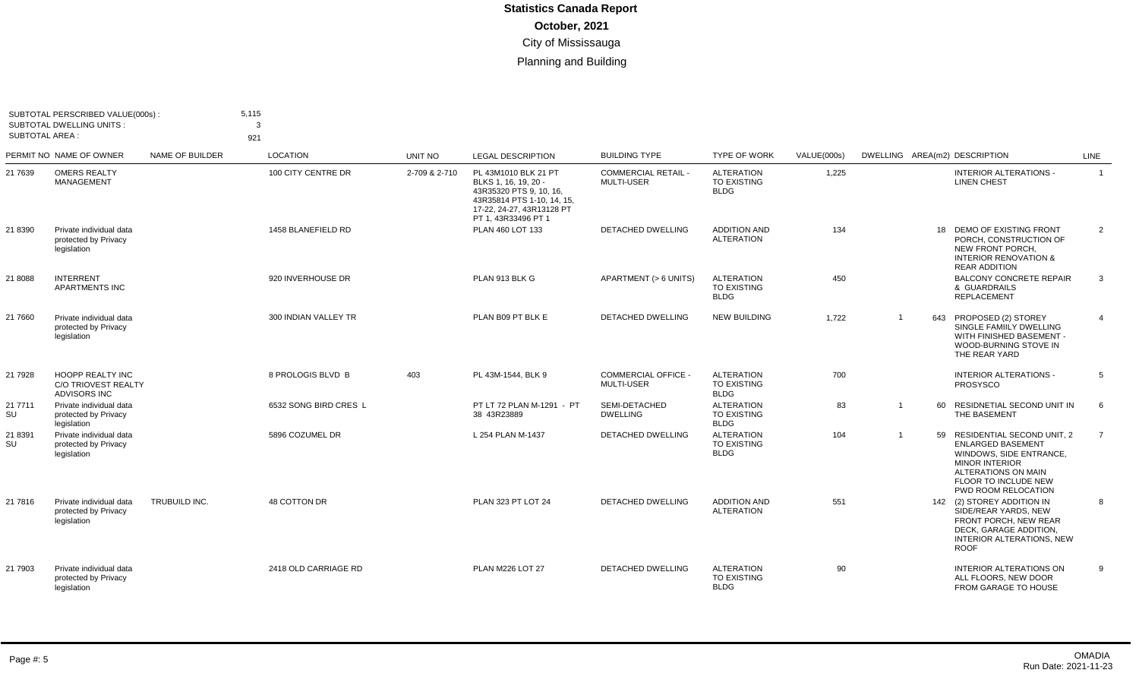| <b>SUBTOTAL AREA:</b> | SUBTOTAL PERSCRIBED VALUE(000s):<br><b>SUBTOTAL DWELLING UNITS:</b>          |                 | 5.115<br>3<br>921     |               |                                                                                                                                                           |                                               |                                                        |             |                |    |                                                                                                                                                                                         |                |
|-----------------------|------------------------------------------------------------------------------|-----------------|-----------------------|---------------|-----------------------------------------------------------------------------------------------------------------------------------------------------------|-----------------------------------------------|--------------------------------------------------------|-------------|----------------|----|-----------------------------------------------------------------------------------------------------------------------------------------------------------------------------------------|----------------|
|                       | PERMIT NO NAME OF OWNER                                                      | NAME OF BUILDER | <b>LOCATION</b>       | UNIT NO       | <b>LEGAL DESCRIPTION</b>                                                                                                                                  | <b>BUILDING TYPE</b>                          | <b>TYPE OF WORK</b>                                    | VALUE(000s) |                |    | DWELLING AREA(m2) DESCRIPTION                                                                                                                                                           | LINE           |
| 21 7639               | <b>OMERS REALTY</b><br><b>MANAGEMENT</b>                                     |                 | 100 CITY CENTRE DR    | 2-709 & 2-710 | PL 43M1010 BLK 21 PT<br>BLKS 1, 16, 19, 20 -<br>43R35320 PTS 9, 10, 16,<br>43R35814 PTS 1-10, 14, 15,<br>17-22, 24-27, 43R13128 PT<br>PT 1, 43R33496 PT 1 | <b>COMMERCIAL RETAIL -</b><br>MULTI-USER      | <b>ALTERATION</b><br><b>TO EXISTING</b><br><b>BLDG</b> | 1,225       |                |    | <b>INTERIOR ALTERATIONS -</b><br><b>LINEN CHEST</b>                                                                                                                                     | $\overline{1}$ |
| 21 8390               | Private individual data<br>protected by Privacy<br>legislation               |                 | 1458 BLANEFIELD RD    |               | PLAN 460 LOT 133                                                                                                                                          | <b>DETACHED DWELLING</b>                      | <b>ADDITION AND</b><br><b>ALTERATION</b>               | 134         |                |    | 18 DEMO OF EXISTING FRONT<br>PORCH. CONSTRUCTION OF<br>NEW FRONT PORCH.<br><b>INTERIOR RENOVATION &amp;</b><br><b>REAR ADDITION</b>                                                     | 2              |
| 21 8088               | <b>INTERRENT</b><br><b>APARTMENTS INC</b>                                    |                 | 920 INVERHOUSE DR     |               | PLAN 913 BLK G                                                                                                                                            | APARTMENT (> 6 UNITS)                         | <b>ALTERATION</b><br><b>TO EXISTING</b><br><b>BLDG</b> | 450         |                |    | <b>BALCONY CONCRETE REPAIR</b><br>& GUARDRAILS<br><b>REPLACEMENT</b>                                                                                                                    | 3              |
| 21 7660               | Private individual data<br>protected by Privacy<br>legislation               |                 | 300 INDIAN VALLEY TR  |               | PLAN B09 PT BLK E                                                                                                                                         | <b>DETACHED DWELLING</b>                      | <b>NEW BUILDING</b>                                    | 1,722       | $\overline{1}$ |    | 643 PROPOSED (2) STOREY<br>SINGLE FAMIILY DWELLING<br>WITH FINISHED BASEMENT -<br>WOOD-BURNING STOVE IN<br>THE REAR YARD                                                                | $\overline{4}$ |
| 21 7928               | <b>HOOPP REALTY INC</b><br><b>C/O TRIOVEST REALTY</b><br><b>ADVISORS INC</b> |                 | 8 PROLOGIS BLVD B     | 403           | PL 43M-1544, BLK 9                                                                                                                                        | <b>COMMERCIAL OFFICE</b><br><b>MULTI-USER</b> | <b>ALTERATION</b><br><b>TO EXISTING</b><br><b>BLDG</b> | 700         |                |    | <b>INTERIOR ALTERATIONS -</b><br>PROSYSCO                                                                                                                                               | 5              |
| 21 7711<br>SU         | Private individual data<br>protected by Privacy<br>legislation               |                 | 6532 SONG BIRD CRES L |               | PT LT 72 PLAN M-1291 - PT<br>38 43R23889                                                                                                                  | SEMI-DETACHED<br><b>DWELLING</b>              | <b>ALTERATION</b><br>TO EXISTING<br><b>BLDG</b>        | 83          | $\overline{1}$ | 60 | RESIDNETIAL SECOND UNIT IN<br>THE BASEMENT                                                                                                                                              | 6              |
| 21 8391<br>SU         | Private individual data<br>protected by Privacy<br>legislation               |                 | 5896 COZUMEL DR       |               | L 254 PLAN M-1437                                                                                                                                         | <b>DETACHED DWELLING</b>                      | <b>ALTERATION</b><br><b>TO EXISTING</b><br><b>BLDG</b> | 104         | $\overline{1}$ | 59 | RESIDENTIAL SECOND UNIT, 2<br><b>ENLARGED BASEMENT</b><br>WINDOWS, SIDE ENTRANCE,<br><b>MINOR INTERIOR</b><br>ALTERATIONS ON MAIN<br><b>FLOOR TO INCLUDE NEW</b><br>PWD ROOM RELOCATION | $\overline{7}$ |
| 21 7816               | Private individual data<br>protected by Privacy<br>legislation               | TRUBUILD INC.   | 48 COTTON DR          |               | <b>PLAN 323 PT LOT 24</b>                                                                                                                                 | DETACHED DWELLING                             | <b>ADDITION AND</b><br><b>ALTERATION</b>               | 551         |                |    | 142 (2) STOREY ADDITION IN<br>SIDE/REAR YARDS, NEW<br>FRONT PORCH, NEW REAR<br>DECK, GARAGE ADDITION,<br><b>INTERIOR ALTERATIONS, NEW</b><br><b>ROOF</b>                                | 8              |
| 21 7903               | Private individual data<br>protected by Privacy<br>legislation               |                 | 2418 OLD CARRIAGE RD  |               | PLAN M226 LOT 27                                                                                                                                          | DETACHED DWELLING                             | <b>ALTERATION</b><br><b>TO EXISTING</b><br><b>BLDG</b> | 90          |                |    | INTERIOR ALTERATIONS ON<br>ALL FLOORS, NEW DOOR<br>FROM GARAGE TO HOUSE                                                                                                                 | 9              |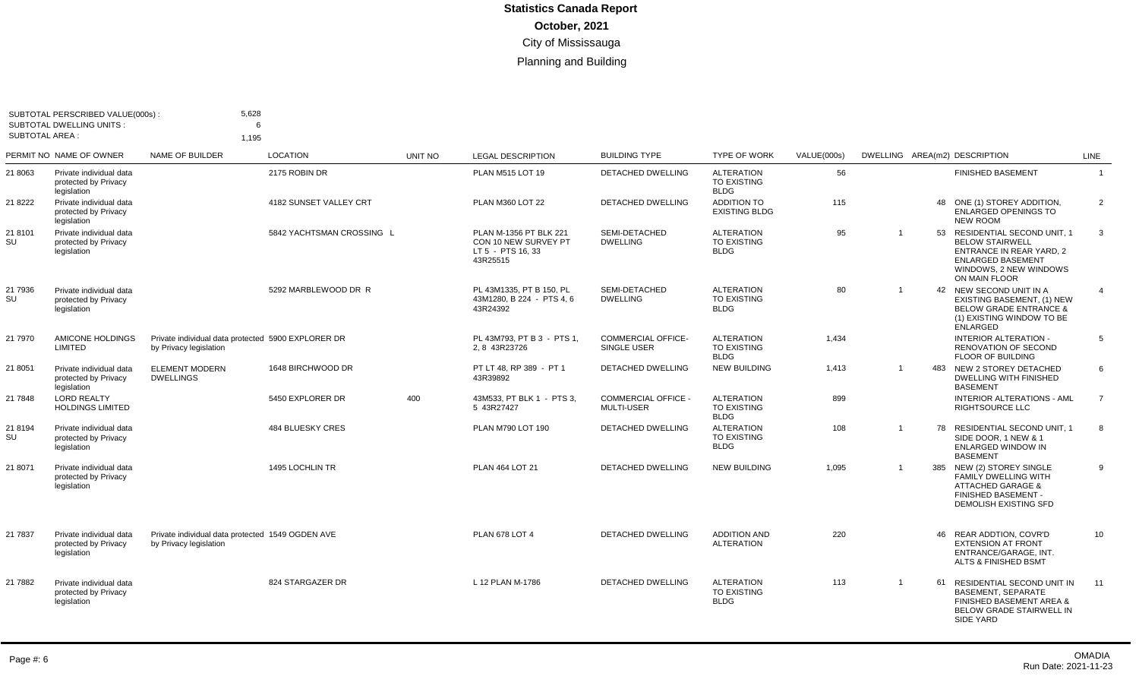| SUBTOTAL AREA : | SUBTOTAL PERSCRIBED VALUE(000s):<br><b>SUBTOTAL DWELLING UNITS:</b> | 5,628<br>6<br>1,195                                                          |                           |         |                                                                                 |                                                 |                                                        |             |                         |    |                                                                                                                                                            |                |
|-----------------|---------------------------------------------------------------------|------------------------------------------------------------------------------|---------------------------|---------|---------------------------------------------------------------------------------|-------------------------------------------------|--------------------------------------------------------|-------------|-------------------------|----|------------------------------------------------------------------------------------------------------------------------------------------------------------|----------------|
|                 | PERMIT NO NAME OF OWNER                                             | NAME OF BUILDER                                                              | <b>LOCATION</b>           | UNIT NO | <b>LEGAL DESCRIPTION</b>                                                        | <b>BUILDING TYPE</b>                            | <b>TYPE OF WORK</b>                                    | VALUE(000s) |                         |    | DWELLING AREA(m2) DESCRIPTION                                                                                                                              | LINE           |
| 21 8063         | Private individual data<br>protected by Privacy<br>legislation      |                                                                              | 2175 ROBIN DR             |         | PLAN M515 LOT 19                                                                | DETACHED DWELLING                               | <b>ALTERATION</b><br><b>TO EXISTING</b><br><b>BLDG</b> | 56          |                         |    | <b>FINISHED BASEMENT</b>                                                                                                                                   | $\overline{1}$ |
| 21 8222         | Private individual data<br>protected by Privacy<br>legislation      |                                                                              | 4182 SUNSET VALLEY CRT    |         | PLAN M360 LOT 22                                                                | <b>DETACHED DWELLING</b>                        | <b>ADDITION TO</b><br><b>EXISTING BLDG</b>             | 115         |                         |    | 48 ONE (1) STOREY ADDITION.<br><b>ENLARGED OPENINGS TO</b><br><b>NEW ROOM</b>                                                                              | 2              |
| 21 8101<br>SU   | Private individual data<br>protected by Privacy<br>legislation      |                                                                              | 5842 YACHTSMAN CROSSING L |         | PLAN M-1356 PT BLK 221<br>CON 10 NEW SURVEY PT<br>LT 5 - PTS 16, 33<br>43R25515 | SEMI-DETACHED<br><b>DWELLING</b>                | <b>ALTERATION</b><br>TO EXISTING<br><b>BLDG</b>        | 95          | $\overline{1}$          |    | 53 RESIDENTIAL SECOND UNIT, 1<br><b>BELOW STAIRWELL</b><br>ENTRANCE IN REAR YARD, 2<br><b>ENLARGED BASEMENT</b><br>WINDOWS, 2 NEW WINDOWS<br>ON MAIN FLOOR | 3              |
| 21 7936<br>SU   | Private individual data<br>protected by Privacy<br>legislation      |                                                                              | 5292 MARBLEWOOD DR R      |         | PL 43M1335, PT B 150, PL<br>43M1280, B 224 - PTS 4, 6<br>43R24392               | SEMI-DETACHED<br><b>DWELLING</b>                | <b>ALTERATION</b><br><b>TO EXISTING</b><br><b>BLDG</b> | 80          | $\overline{1}$          |    | 42 NEW SECOND UNIT IN A<br>EXISTING BASEMENT, (1) NEW<br><b>BELOW GRADE ENTRANCE &amp;</b><br>(1) EXISTING WINDOW TO BE<br><b>ENLARGED</b>                 | $\overline{4}$ |
| 21 7970         | AMICONE HOLDINGS<br>LIMITED                                         | Private individual data protected 5900 EXPLORER DR<br>by Privacy legislation |                           |         | PL 43M793, PT B 3 - PTS 1.<br>2, 8 43R23726                                     | <b>COMMERCIAL OFFICE-</b><br>SINGLE USER        | <b>ALTERATION</b><br><b>TO EXISTING</b><br><b>BLDG</b> | 1,434       |                         |    | INTERIOR ALTERATION -<br><b>RENOVATION OF SECOND</b><br>FLOOR OF BUILDING                                                                                  | 5              |
| 21 8051         | Private individual data<br>protected by Privacy<br>legislation      | <b>ELEMENT MODERN</b><br><b>DWELLINGS</b>                                    | 1648 BIRCHWOOD DR         |         | PT LT 48, RP 389 - PT 1<br>43R39892                                             | <b>DETACHED DWELLING</b>                        | <b>NEW BUILDING</b>                                    | 1,413       | $\overline{1}$          |    | 483 NEW 2 STOREY DETACHED<br><b>DWELLING WITH FINISHED</b><br><b>BASEMENT</b>                                                                              | 6              |
| 21 7848         | <b>LORD REALTY</b><br><b>HOLDINGS LIMITED</b>                       |                                                                              | 5450 EXPLORER DR          | 400     | 43M533, PT BLK 1 - PTS 3,<br>5 43R27427                                         | <b>COMMERCIAL OFFICE -</b><br><b>MULTI-USER</b> | <b>ALTERATION</b><br>TO EXISTING<br><b>BLDG</b>        | 899         |                         |    | <b>INTERIOR ALTERATIONS - AML</b><br><b>RIGHTSOURCE LLC</b>                                                                                                | $\overline{7}$ |
| 21 8194<br>SU   | Private individual data<br>protected by Privacy<br>legislation      |                                                                              | <b>484 BLUESKY CRES</b>   |         | PLAN M790 LOT 190                                                               | DETACHED DWELLING                               | <b>ALTERATION</b><br><b>TO EXISTING</b><br><b>BLDG</b> | 108         | $\overline{1}$          | 78 | <b>RESIDENTIAL SECOND UNIT. 1</b><br>SIDE DOOR, 1 NEW & 1<br>ENLARGED WINDOW IN<br><b>BASEMENT</b>                                                         | 8              |
| 21 8071         | Private individual data<br>protected by Privacy<br>legislation      |                                                                              | 1495 LOCHLIN TR           |         | PLAN 464 LOT 21                                                                 | <b>DETACHED DWELLING</b>                        | <b>NEW BUILDING</b>                                    | 1,095       | $\overline{\mathbf{1}}$ |    | 385 NEW (2) STOREY SINGLE<br>FAMILY DWELLING WITH<br><b>ATTACHED GARAGE &amp;</b><br>FINISHED BASEMENT -<br>DEMOLISH EXISTING SFD                          | 9              |
| 21 7837         | Private individual data<br>protected by Privacy<br>legislation      | Private individual data protected 1549 OGDEN AVE<br>by Privacy legislation   |                           |         | <b>PLAN 678 LOT 4</b>                                                           | DETACHED DWELLING                               | <b>ADDITION AND</b><br><b>ALTERATION</b>               | 220         |                         |    | 46 REAR ADDTION, COVR'D<br><b>EXTENSION AT FRONT</b><br>ENTRANCE/GARAGE, INT.<br>ALTS & FINISHED BSMT                                                      | 10             |
| 21 7882         | Private individual data<br>protected by Privacy<br>legislation      |                                                                              | 824 STARGAZER DR          |         | L 12 PLAN M-1786                                                                | <b>DETACHED DWELLING</b>                        | <b>ALTERATION</b><br><b>TO EXISTING</b><br><b>BLDG</b> | 113         | $\overline{1}$          | 61 | RESIDENTIAL SECOND UNIT IN<br><b>BASEMENT, SEPARATE</b><br>FINISHED BASEMENT AREA &<br>BELOW GRADE STAIRWELL IN<br>SIDE YARD                               | 11             |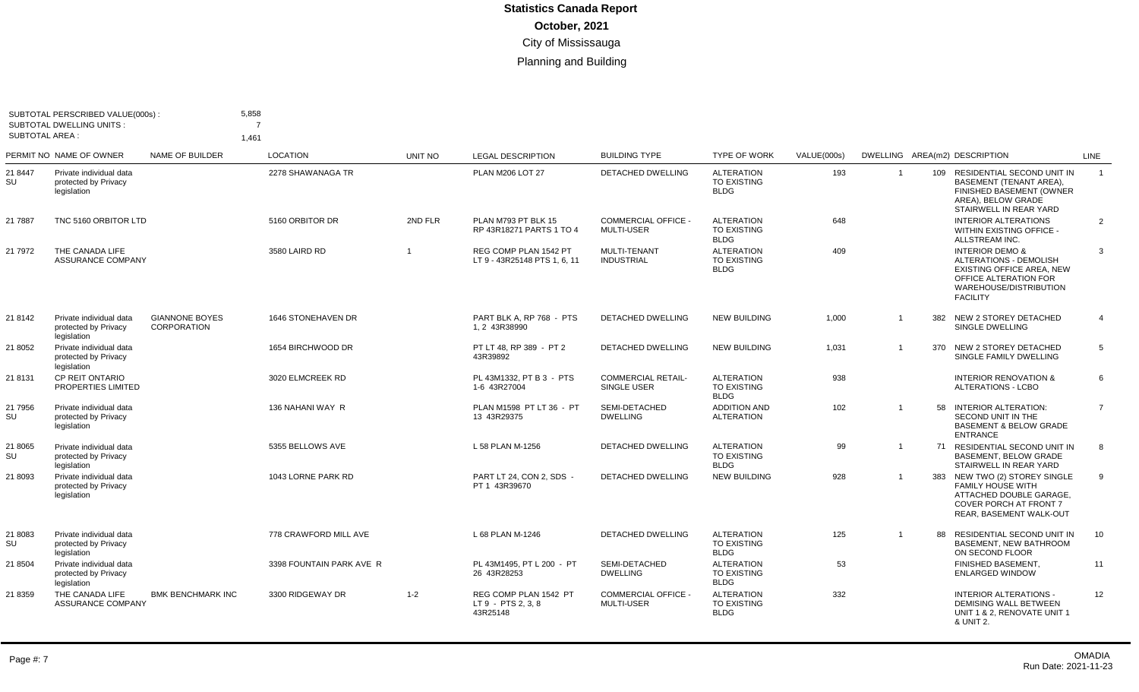| <b>SUBTOTAL AREA:</b> | SUBTOTAL PERSCRIBED VALUE(000s):<br><b>SUBTOTAL DWELLING UNITS:</b> |                                      | 5,858<br>$\overline{7}$<br>1,461 |                |                                                         |                                                 |                                                        |             |                |     |                                                                                                                                                                |                |
|-----------------------|---------------------------------------------------------------------|--------------------------------------|----------------------------------|----------------|---------------------------------------------------------|-------------------------------------------------|--------------------------------------------------------|-------------|----------------|-----|----------------------------------------------------------------------------------------------------------------------------------------------------------------|----------------|
|                       | PERMIT NO NAME OF OWNER                                             | NAME OF BUILDER                      | <b>LOCATION</b>                  | <b>UNIT NO</b> | <b>LEGAL DESCRIPTION</b>                                | <b>BUILDING TYPE</b>                            | <b>TYPE OF WORK</b>                                    | VALUE(000s) |                |     | DWELLING AREA(m2) DESCRIPTION                                                                                                                                  | <b>LINE</b>    |
| 21 8447<br>SU         | Private individual data<br>protected by Privacy<br>legislation      |                                      | 2278 SHAWANAGA TR                |                | <b>PLAN M206 LOT 27</b>                                 | <b>DETACHED DWELLING</b>                        | <b>ALTERATION</b><br><b>TO EXISTING</b><br><b>BLDG</b> | 193         | $\overline{1}$ |     | 109 RESIDENTIAL SECOND UNIT IN<br><b>BASEMENT (TENANT AREA).</b><br>FINISHED BASEMENT (OWNER<br>AREA). BELOW GRADE<br>STAIRWELL IN REAR YARD                   | $\overline{1}$ |
| 21 7887               | TNC 5160 ORBITOR LTD                                                |                                      | 5160 ORBITOR DR                  | 2ND FLR        | PLAN M793 PT BLK 15<br>RP 43R18271 PARTS 1 TO 4         | <b>COMMERCIAL OFFICE -</b><br><b>MULTI-USER</b> | <b>ALTERATION</b><br><b>TO EXISTING</b><br><b>BLDG</b> | 648         |                |     | <b>INTERIOR ALTERATIONS</b><br><b>WITHIN EXISTING OFFICE -</b><br>ALLSTREAM INC.                                                                               | $\overline{2}$ |
| 21 7972               | THE CANADA LIFE<br>ASSURANCE COMPANY                                |                                      | 3580 LAIRD RD                    | $\overline{1}$ | REG COMP PLAN 1542 PT<br>LT 9 - 43R25148 PTS 1, 6, 11   | <b>MULTI-TENANT</b><br><b>INDUSTRIAL</b>        | <b>ALTERATION</b><br><b>TO EXISTING</b><br><b>BLDG</b> | 409         |                |     | <b>INTERIOR DEMO &amp;</b><br><b>ALTERATIONS - DEMOLISH</b><br>EXISTING OFFICE AREA, NEW<br>OFFICE ALTERATION FOR<br>WAREHOUSE/DISTRIBUTION<br><b>FACILITY</b> | 3              |
| 21 8142               | Private individual data<br>protected by Privacv<br>legislation      | <b>GIANNONE BOYES</b><br>CORPORATION | <b>1646 STONEHAVEN DR</b>        |                | PART BLK A, RP 768 - PTS<br>1, 2 43R38990               | DETACHED DWELLING                               | <b>NEW BUILDING</b>                                    | 1,000       | $\overline{1}$ | 382 | NEW 2 STOREY DETACHED<br>SINGLE DWELLING                                                                                                                       | $\overline{4}$ |
| 21 8052               | Private individual data<br>protected by Privacy<br>legislation      |                                      | 1654 BIRCHWOOD DR                |                | PT LT 48. RP 389 - PT 2<br>43R39892                     | <b>DETACHED DWELLING</b>                        | <b>NEW BUILDING</b>                                    | 1,031       |                | 370 | NEW 2 STOREY DETACHED<br>SINGLE FAMILY DWELLING                                                                                                                | 5              |
| 21 8131               | <b>CP REIT ONTARIO</b><br>PROPERTIES LIMITED                        |                                      | 3020 ELMCREEK RD                 |                | PL 43M1332. PT B 3 - PTS<br>1-6 43R27004                | <b>COMMERCIAL RETAIL-</b><br>SINGLE USER        | <b>ALTERATION</b><br><b>TO EXISTING</b><br><b>BLDG</b> | 938         |                |     | <b>INTERIOR RENOVATION &amp;</b><br><b>ALTERATIONS - LCBO</b>                                                                                                  | 6              |
| 21 7956<br>SU         | Private individual data<br>protected by Privacy<br>legislation      |                                      | 136 NAHANI WAY R                 |                | PLAN M1598 PT LT 36 - PT<br>13 43R29375                 | SEMI-DETACHED<br><b>DWELLING</b>                | <b>ADDITION AND</b><br><b>ALTERATION</b>               | 102         | $\overline{1}$ |     | 58 INTERIOR ALTERATION:<br>SECOND UNIT IN THE<br><b>BASEMENT &amp; BELOW GRADE</b><br><b>ENTRANCE</b>                                                          | $\overline{7}$ |
| 21 8065<br>SU         | Private individual data<br>protected by Privacy<br>legislation      |                                      | 5355 BELLOWS AVE                 |                | L 58 PLAN M-1256                                        | DETACHED DWELLING                               | <b>ALTERATION</b><br><b>TO EXISTING</b><br><b>BLDG</b> | 99          | $\mathbf{1}$   |     | 71 RESIDENTIAL SECOND UNIT IN<br><b>BASEMENT, BELOW GRADE</b><br>STAIRWELL IN REAR YARD                                                                        | 8              |
| 21 8093               | Private individual data<br>protected by Privacy<br>legislation      |                                      | 1043 LORNE PARK RD               |                | PART LT 24. CON 2. SDS -<br>PT 1 43R39670               | <b>DETACHED DWELLING</b>                        | <b>NEW BUILDING</b>                                    | 928         | $\overline{1}$ | 383 | NEW TWO (2) STOREY SINGLE<br><b>FAMILY HOUSE WITH</b><br>ATTACHED DOUBLE GARAGE,<br><b>COVER PORCH AT FRONT 7</b><br>REAR, BASEMENT WALK-OUT                   | 9              |
| 21 8083<br>SU         | Private individual data<br>protected by Privacy<br>legislation      |                                      | 778 CRAWFORD MILL AVE            |                | L 68 PLAN M-1246                                        | DETACHED DWELLING                               | <b>ALTERATION</b><br>TO EXISTING<br><b>BLDG</b>        | 125         | $\mathbf{1}$   |     | 88 RESIDENTIAL SECOND UNIT IN<br>BASEMENT. NEW BATHROOM<br>ON SECOND FLOOR                                                                                     | 10             |
| 21 8504               | Private individual data<br>protected by Privacy<br>legislation      |                                      | 3398 FOUNTAIN PARK AVE R         |                | PL 43M1495. PT L 200 - PT<br>26 43R28253                | SEMI-DETACHED<br><b>DWELLING</b>                | <b>ALTERATION</b><br><b>TO EXISTING</b><br><b>BLDG</b> | 53          |                |     | FINISHED BASEMENT.<br><b>ENLARGED WINDOW</b>                                                                                                                   | 11             |
| 21 8359               | THE CANADA LIFE<br><b>ASSURANCE COMPANY</b>                         | <b>BMK BENCHMARK INC</b>             | 3300 RIDGEWAY DR                 | $1 - 2$        | REG COMP PLAN 1542 PT<br>LT 9 - PTS 2, 3, 8<br>43R25148 | <b>COMMERCIAL OFFICE -</b><br><b>MULTI-USER</b> | <b>ALTERATION</b><br>TO EXISTING<br><b>BLDG</b>        | 332         |                |     | <b>INTERIOR ALTERATIONS -</b><br><b>DEMISING WALL BETWEEN</b><br>UNIT 1 & 2, RENOVATE UNIT 1<br>& UNIT 2.                                                      | 12             |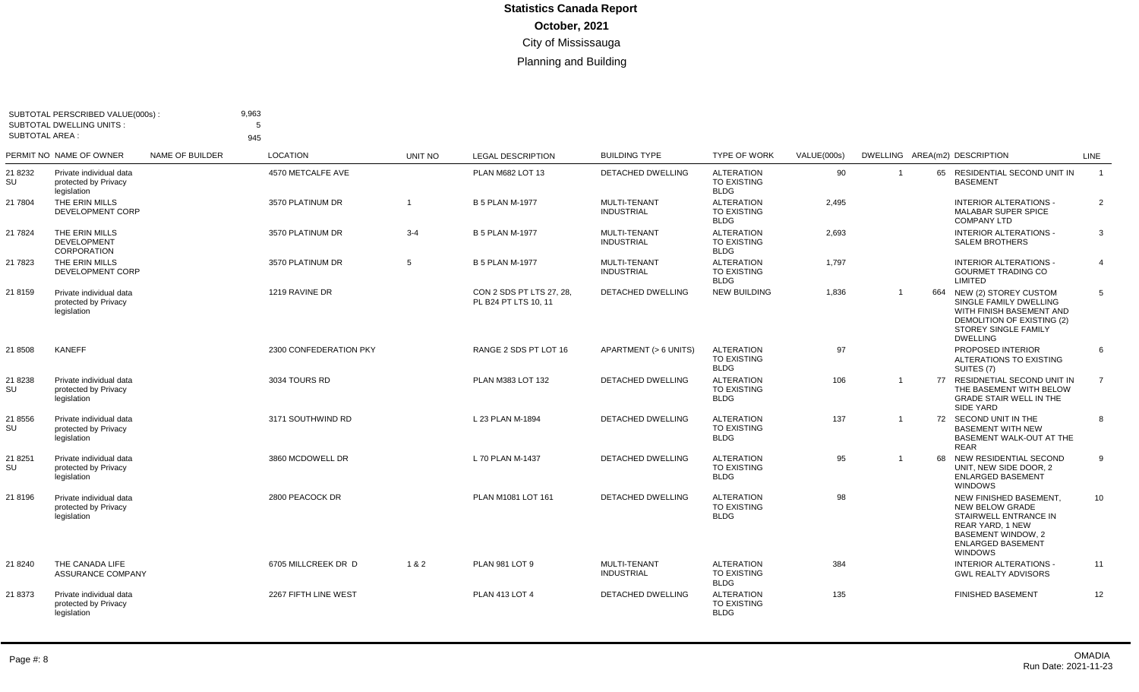| <b>SUBTOTAL AREA:</b> | SUBTOTAL PERSCRIBED VALUE(000s):<br><b>SUBTOTAL DWELLING UNITS:</b> |                        | 9,963<br>5<br>945      |                |                                                  |                                          |                                                        |             |                |    |                                                                                                                                                                   |                |
|-----------------------|---------------------------------------------------------------------|------------------------|------------------------|----------------|--------------------------------------------------|------------------------------------------|--------------------------------------------------------|-------------|----------------|----|-------------------------------------------------------------------------------------------------------------------------------------------------------------------|----------------|
|                       | PERMIT NO NAME OF OWNER                                             | <b>NAME OF BUILDER</b> | <b>LOCATION</b>        | UNIT NO        | <b>LEGAL DESCRIPTION</b>                         | <b>BUILDING TYPE</b>                     | <b>TYPE OF WORK</b>                                    | VALUE(000s) |                |    | DWELLING AREA(m2) DESCRIPTION                                                                                                                                     | LINE           |
| 21 8232<br>SU         | Private individual data<br>protected by Privacy<br>legislation      |                        | 4570 METCALFE AVE      |                | PLAN M682 LOT 13                                 | <b>DETACHED DWELLING</b>                 | <b>ALTERATION</b><br><b>TO EXISTING</b><br><b>BLDG</b> | 90          | $\overline{1}$ |    | 65 RESIDENTIAL SECOND UNIT IN<br><b>BASEMENT</b>                                                                                                                  | $\overline{1}$ |
| 21 7804               | THE ERIN MILLS<br>DEVELOPMENT CORP                                  |                        | 3570 PLATINUM DR       | $\overline{1}$ | <b>B 5 PLAN M-1977</b>                           | <b>MULTI-TENANT</b><br><b>INDUSTRIAL</b> | <b>ALTERATION</b><br><b>TO EXISTING</b><br><b>BLDG</b> | 2,495       |                |    | <b>INTERIOR ALTERATIONS -</b><br><b>MALABAR SUPER SPICE</b><br><b>COMPANY LTD</b>                                                                                 | 2              |
| 21 7824               | THE ERIN MILLS<br><b>DEVELOPMENT</b><br><b>CORPORATION</b>          |                        | 3570 PLATINUM DR       | $3 - 4$        | <b>B 5 PLAN M-1977</b>                           | <b>MULTI-TENANT</b><br><b>INDUSTRIAL</b> | <b>ALTERATION</b><br><b>TO EXISTING</b><br><b>BLDG</b> | 2,693       |                |    | <b>INTERIOR ALTERATIONS -</b><br><b>SALEM BROTHERS</b>                                                                                                            | 3              |
| 21 7823               | THE ERIN MILLS<br>DEVELOPMENT CORP                                  |                        | 3570 PLATINUM DR       | 5              | <b>B 5 PLAN M-1977</b>                           | MULTI-TENANT<br><b>INDUSTRIAL</b>        | <b>ALTERATION</b><br><b>TO EXISTING</b><br><b>BLDG</b> | 1,797       |                |    | <b>INTERIOR ALTERATIONS -</b><br><b>GOURMET TRADING CO</b><br>LIMITED                                                                                             | $\overline{4}$ |
| 21 8159               | Private individual data<br>protected by Privacy<br>legislation      |                        | 1219 RAVINE DR         |                | CON 2 SDS PT LTS 27, 28,<br>PL B24 PT LTS 10, 11 | <b>DETACHED DWELLING</b>                 | <b>NEW BUILDING</b>                                    | 1,836       | $\overline{1}$ |    | 664 NEW (2) STOREY CUSTOM<br>SINGLE FAMILY DWELLING<br>WITH FINISH BASEMENT AND<br>DEMOLITION OF EXISTING (2)<br>STOREY SINGLE FAMILY<br><b>DWELLING</b>          | 5              |
| 21 8508               | <b>KANEFF</b>                                                       |                        | 2300 CONFEDERATION PKY |                | RANGE 2 SDS PT LOT 16                            | APARTMENT (> 6 UNITS)                    | <b>ALTERATION</b><br><b>TO EXISTING</b><br><b>BLDG</b> | 97          |                |    | PROPOSED INTERIOR<br>ALTERATIONS TO EXISTING<br>SUITES (7)                                                                                                        | 6              |
| 21 8238<br>SU         | Private individual data<br>protected by Privacy<br>legislation      |                        | 3034 TOURS RD          |                | PLAN M383 LOT 132                                | <b>DETACHED DWELLING</b>                 | <b>ALTERATION</b><br><b>TO EXISTING</b><br><b>BLDG</b> | 106         | $\overline{1}$ |    | 77 RESIDNETIAL SECOND UNIT IN<br>THE BASEMENT WITH BELOW<br><b>GRADE STAIR WELL IN THE</b><br><b>SIDE YARD</b>                                                    | 7              |
| 21 8556<br>SU         | Private individual data<br>protected by Privacy<br>legislation      |                        | 3171 SOUTHWIND RD      |                | L 23 PLAN M-1894                                 | <b>DETACHED DWELLING</b>                 | <b>ALTERATION</b><br><b>TO EXISTING</b><br><b>BLDG</b> | 137         | $\overline{1}$ |    | 72 SECOND UNIT IN THE<br><b>BASEMENT WITH NEW</b><br>BASEMENT WALK-OUT AT THE<br>REAR                                                                             | 8              |
| 21 8251<br>SU         | Private individual data<br>protected by Privacy<br>legislation      |                        | 3860 MCDOWELL DR       |                | L 70 PLAN M-1437                                 | <b>DETACHED DWELLING</b>                 | <b>ALTERATION</b><br>TO EXISTING<br><b>BLDG</b>        | 95          | $\overline{1}$ | 68 | NEW RESIDENTIAL SECOND<br>UNIT. NEW SIDE DOOR. 2<br><b>ENLARGED BASEMENT</b><br><b>WINDOWS</b>                                                                    | 9              |
| 21 8196               | Private individual data<br>protected by Privacy<br>legislation      |                        | 2800 PEACOCK DR        |                | PLAN M1081 LOT 161                               | <b>DETACHED DWELLING</b>                 | <b>ALTERATION</b><br><b>TO EXISTING</b><br><b>BLDG</b> | 98          |                |    | NEW FINISHED BASEMENT,<br><b>NEW BELOW GRADE</b><br>STAIRWELL ENTRANCE IN<br>REAR YARD, 1 NEW<br><b>BASEMENT WINDOW, 2</b><br><b>ENLARGED BASEMENT</b><br>WINDOWS | 10             |
| 21 8240               | THE CANADA LIFE<br><b>ASSURANCE COMPANY</b>                         |                        | 6705 MILLCREEK DR D    | 1 & 2          | <b>PLAN 981 LOT 9</b>                            | MULTI-TENANT<br><b>INDUSTRIAL</b>        | <b>ALTERATION</b><br><b>TO EXISTING</b><br><b>BLDG</b> | 384         |                |    | <b>INTERIOR ALTERATIONS -</b><br><b>GWL REALTY ADVISORS</b>                                                                                                       | 11             |
| 21 8373               | Private individual data<br>protected by Privacy<br>legislation      |                        | 2267 FIFTH LINE WEST   |                | <b>PLAN 413 LOT 4</b>                            | <b>DETACHED DWELLING</b>                 | <b>ALTERATION</b><br><b>TO EXISTING</b><br><b>BLDG</b> | 135         |                |    | <b>FINISHED BASEMENT</b>                                                                                                                                          | 12             |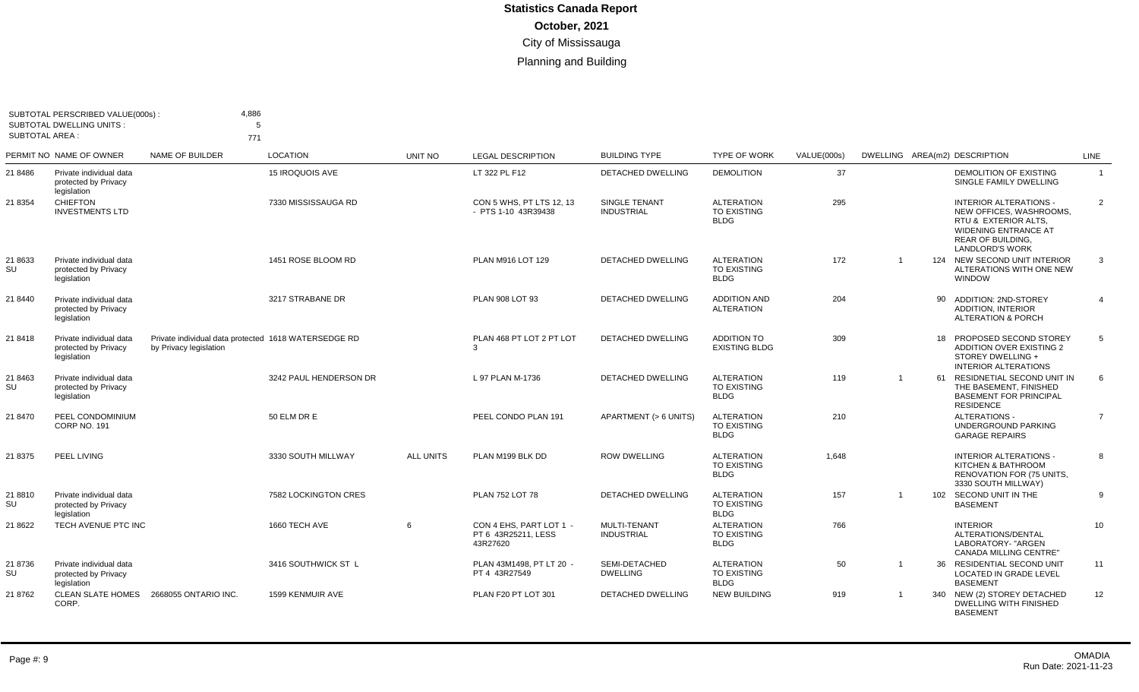| <b>SUBTOTAL AREA:</b> | SUBTOTAL PERSCRIBED VALUE(000s):<br><b>SUBTOTAL DWELLING UNITS:</b> | 4,886<br>5<br>771                                                              |                        |           |                                                            |                                    |                                                        |             |                |    |                                                                                                                                                                       |                |
|-----------------------|---------------------------------------------------------------------|--------------------------------------------------------------------------------|------------------------|-----------|------------------------------------------------------------|------------------------------------|--------------------------------------------------------|-------------|----------------|----|-----------------------------------------------------------------------------------------------------------------------------------------------------------------------|----------------|
|                       | PERMIT NO NAME OF OWNER                                             | NAME OF BUILDER                                                                | <b>LOCATION</b>        | UNIT NO   | <b>LEGAL DESCRIPTION</b>                                   | <b>BUILDING TYPE</b>               | <b>TYPE OF WORK</b>                                    | VALUE(000s) |                |    | DWELLING AREA(m2) DESCRIPTION                                                                                                                                         | <b>LINE</b>    |
| 21 8486               | Private individual data<br>protected by Privacy<br>legislation      |                                                                                | 15 IROQUOIS AVE        |           | LT 322 PL F12                                              | DETACHED DWELLING                  | <b>DEMOLITION</b>                                      | 37          |                |    | DEMOLITION OF EXISTING<br>SINGLE FAMILY DWELLING                                                                                                                      | $\overline{1}$ |
| 21 8354               | <b>CHIEFTON</b><br><b>INVESTMENTS LTD</b>                           |                                                                                | 7330 MISSISSAUGA RD    |           | CON 5 WHS. PT LTS 12, 13<br>- PTS 1-10 43R39438            | SINGLE TENANT<br><b>INDUSTRIAL</b> | <b>ALTERATION</b><br><b>TO EXISTING</b><br><b>BLDG</b> | 295         |                |    | <b>INTERIOR ALTERATIONS -</b><br>NEW OFFICES, WASHROOMS,<br>RTU & EXTERIOR ALTS.<br><b>WIDENING ENTRANCE AT</b><br><b>REAR OF BUILDING,</b><br><b>LANDLORD'S WORK</b> | 2              |
| 21 8633<br>SU         | Private individual data<br>protected by Privacy<br>legislation      |                                                                                | 1451 ROSE BLOOM RD     |           | PLAN M916 LOT 129                                          | <b>DETACHED DWELLING</b>           | <b>ALTERATION</b><br><b>TO EXISTING</b><br><b>BLDG</b> | 172         | $\overline{1}$ |    | 124 NEW SECOND UNIT INTERIOR<br>ALTERATIONS WITH ONE NEW<br><b>WINDOW</b>                                                                                             | 3              |
| 21 8440               | Private individual data<br>protected by Privacy<br>legislation      |                                                                                | 3217 STRABANE DR       |           | PLAN 908 LOT 93                                            | <b>DETACHED DWELLING</b>           | <b>ADDITION AND</b><br><b>ALTERATION</b>               | 204         |                |    | 90 ADDITION: 2ND-STOREY<br><b>ADDITION. INTERIOR</b><br><b>ALTERATION &amp; PORCH</b>                                                                                 | $\overline{4}$ |
| 21 8418               | Private individual data<br>protected by Privacy<br>legislation      | Private individual data protected 1618 WATERSEDGE RD<br>by Privacy legislation |                        |           | PLAN 468 PT LOT 2 PT LOT<br>3                              | <b>DETACHED DWELLING</b>           | <b>ADDITION TO</b><br><b>EXISTING BLDG</b>             | 309         |                |    | 18 PROPOSED SECOND STOREY<br><b>ADDITION OVER EXISTING 2</b><br>STOREY DWELLING +<br><b>INTERIOR ALTERATIONS</b>                                                      | 5              |
| 21 8463<br>SU         | Private individual data<br>protected by Privacy<br>legislation      |                                                                                | 3242 PAUL HENDERSON DR |           | L 97 PLAN M-1736                                           | <b>DETACHED DWELLING</b>           | <b>ALTERATION</b><br><b>TO EXISTING</b><br><b>BLDG</b> | 119         | -1             |    | 61 RESIDNETIAL SECOND UNIT IN<br>THE BASEMENT, FINISHED<br><b>BASEMENT FOR PRINCIPAL</b><br><b>RESIDENCE</b>                                                          | 6              |
| 21 8470               | PEEL CONDOMINIUM<br><b>CORP NO. 191</b>                             |                                                                                | 50 ELM DR E            |           | PEEL CONDO PLAN 191                                        | APARTMENT (> 6 UNITS)              | <b>ALTERATION</b><br><b>TO EXISTING</b><br><b>BLDG</b> | 210         |                |    | <b>ALTERATIONS -</b><br>UNDERGROUND PARKING<br><b>GARAGE REPAIRS</b>                                                                                                  | $\overline{7}$ |
| 21 8375               | PEEL LIVING                                                         |                                                                                | 3330 SOUTH MILLWAY     | ALL UNITS | PLAN M199 BLK DD                                           | <b>ROW DWELLING</b>                | <b>ALTERATION</b><br><b>TO EXISTING</b><br><b>BLDG</b> | 1,648       |                |    | INTERIOR ALTERATIONS -<br>KITCHEN & BATHROOM<br>RENOVATION FOR (75 UNITS,<br>3330 SOUTH MILLWAY)                                                                      | 8              |
| 21 8810<br>SU         | Private individual data<br>protected by Privacy<br>legislation      |                                                                                | 7582 LOCKINGTON CRES   |           | PLAN 752 LOT 78                                            | DETACHED DWELLING                  | <b>ALTERATION</b><br><b>TO EXISTING</b><br><b>BLDG</b> | 157         | $\overline{1}$ |    | 102 SECOND UNIT IN THE<br><b>BASEMENT</b>                                                                                                                             | 9              |
| 21 8622               | TECH AVENUE PTC INC                                                 |                                                                                | 1660 TECH AVE          | 6         | CON 4 EHS. PART LOT 1 -<br>PT 6 43R25211, LESS<br>43R27620 | MULTI-TENANT<br><b>INDUSTRIAL</b>  | <b>ALTERATION</b><br>TO EXISTING<br><b>BLDG</b>        | 766         |                |    | <b>INTERIOR</b><br>ALTERATIONS/DENTAL<br>LABORATORY- "ARGEN<br><b>CANADA MILLING CENTRE"</b>                                                                          | 10             |
| 21 8736<br>SU         | Private individual data<br>protected by Privacy<br>legislation      |                                                                                | 3416 SOUTHWICK ST L    |           | PLAN 43M1498, PT LT 20 -<br>PT 4 43R27549                  | SEMI-DETACHED<br><b>DWELLING</b>   | <b>ALTERATION</b><br>TO EXISTING<br><b>BLDG</b>        | 50          |                | 36 | RESIDENTIAL SECOND UNIT<br>LOCATED IN GRADE LEVEL<br><b>BASEMENT</b>                                                                                                  | 11             |
| 21 8762               | <b>CLEAN SLATE HOMES</b><br>CORP.                                   | 2668055 ONTARIO INC.                                                           | 1599 KENMUIR AVE       |           | PLAN F20 PT LOT 301                                        | <b>DETACHED DWELLING</b>           | <b>NEW BUILDING</b>                                    | 919         | $\overline{1}$ |    | 340 NEW (2) STOREY DETACHED<br><b>DWELLING WITH FINISHED</b><br><b>BASEMENT</b>                                                                                       | 12             |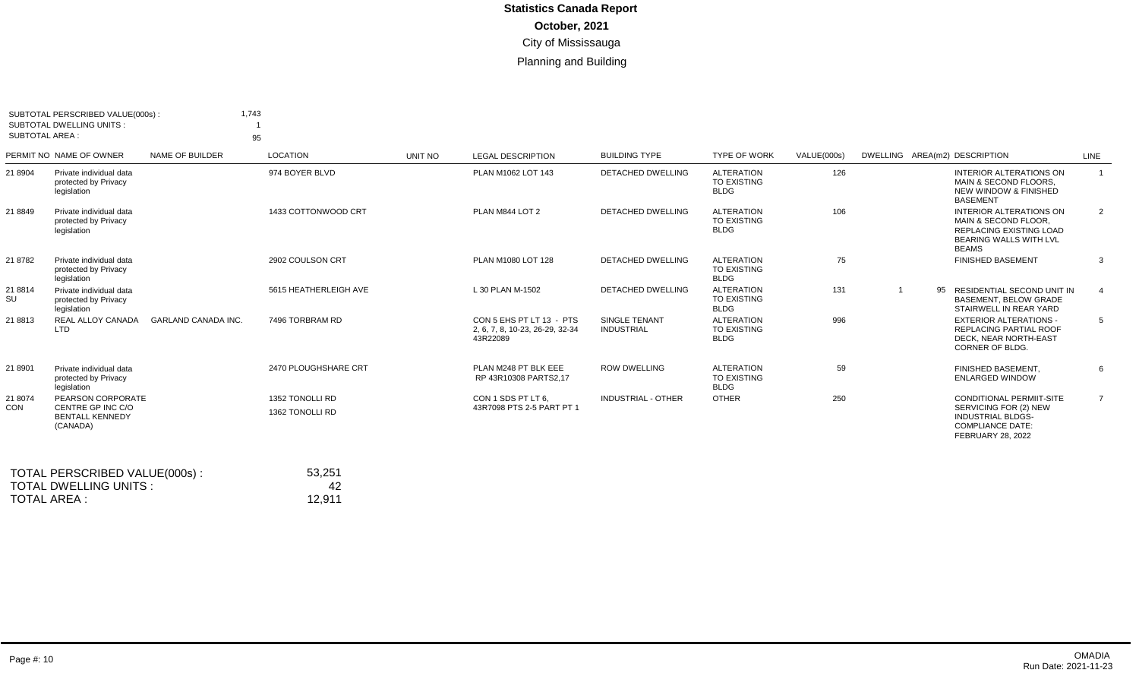| <b>SUBTOTAL AREA:</b> | SUBTOTAL PERSCRIBED VALUE(000s):<br><b>SUBTOTAL DWELLING UNITS:</b>          |                            | 1,743<br>95                        |         |                                                                         |                                    |                                                        |             |                               |                                                                                                                                      |                |
|-----------------------|------------------------------------------------------------------------------|----------------------------|------------------------------------|---------|-------------------------------------------------------------------------|------------------------------------|--------------------------------------------------------|-------------|-------------------------------|--------------------------------------------------------------------------------------------------------------------------------------|----------------|
|                       | PERMIT NO NAME OF OWNER                                                      | NAME OF BUILDER            | LOCATION                           | UNIT NO | <b>LEGAL DESCRIPTION</b>                                                | <b>BUILDING TYPE</b>               | <b>TYPE OF WORK</b>                                    | VALUE(000s) | DWELLING AREA(m2) DESCRIPTION |                                                                                                                                      | LINE           |
| 21 8904               | Private individual data<br>protected by Privacy<br>legislation               |                            | 974 BOYER BLVD                     |         | PLAN M1062 LOT 143                                                      | DETACHED DWELLING                  | <b>ALTERATION</b><br><b>TO EXISTING</b><br><b>BLDG</b> | 126         |                               | <b>INTERIOR ALTERATIONS ON</b><br>MAIN & SECOND FLOORS.<br><b>NEW WINDOW &amp; FINISHED</b><br><b>BASEMENT</b>                       | $\overline{1}$ |
| 21 8849               | Private individual data<br>protected by Privacy<br>legislation               |                            | 1433 COTTONWOOD CRT                |         | PLAN M844 LOT 2                                                         | <b>DETACHED DWELLING</b>           | <b>ALTERATION</b><br><b>TO EXISTING</b><br><b>BLDG</b> | 106         |                               | <b>INTERIOR ALTERATIONS ON</b><br>MAIN & SECOND FLOOR.<br>REPLACING EXISTING LOAD<br><b>BEARING WALLS WITH LVL</b><br><b>BEAMS</b>   | 2              |
| 21 8782               | Private individual data<br>protected by Privacy<br>legislation               |                            | 2902 COULSON CRT                   |         | PLAN M1080 LOT 128                                                      | DETACHED DWELLING                  | <b>ALTERATION</b><br><b>TO EXISTING</b><br><b>BLDG</b> | 75          |                               | <b>FINISHED BASEMENT</b>                                                                                                             | 3              |
| 21 8814<br>SU         | Private individual data<br>protected by Privacy<br>legislation               |                            | 5615 HEATHERLEIGH AVE              |         | L 30 PLAN M-1502                                                        | <b>DETACHED DWELLING</b>           | <b>ALTERATION</b><br><b>TO EXISTING</b><br><b>BLDG</b> | 131         |                               | 95 RESIDENTIAL SECOND UNIT IN<br>BASEMENT, BELOW GRADE<br>STAIRWELL IN REAR YARD                                                     | $\overline{4}$ |
| 21 8813               | <b>REAL ALLOY CANADA</b><br><b>LTD</b>                                       | <b>GARLAND CANADA INC.</b> | 7496 TORBRAM RD                    |         | CON 5 EHS PT LT 13 - PTS<br>2, 6, 7, 8, 10-23, 26-29, 32-34<br>43R22089 | SINGLE TENANT<br><b>INDUSTRIAL</b> | <b>ALTERATION</b><br><b>TO EXISTING</b><br><b>BLDG</b> | 996         |                               | <b>EXTERIOR ALTERATIONS -</b><br><b>REPLACING PARTIAL ROOF</b><br>DECK. NEAR NORTH-EAST<br>CORNER OF BLDG.                           | 5              |
| 21 8901               | Private individual data<br>protected by Privacy<br>legislation               |                            | 2470 PLOUGHSHARE CRT               |         | PLAN M248 PT BLK EEE<br>RP 43R10308 PARTS2.17                           | <b>ROW DWELLING</b>                | <b>ALTERATION</b><br><b>TO EXISTING</b><br><b>BLDG</b> | 59          |                               | FINISHED BASEMENT.<br><b>ENLARGED WINDOW</b>                                                                                         | 6              |
| 21 8074<br>CON        | PEARSON CORPORATE<br>CENTRE GP INC C/O<br><b>BENTALL KENNEDY</b><br>(CANADA) |                            | 1352 TONOLLI RD<br>1362 TONOLLI RD |         | CON 1 SDS PT LT 6.<br>43R7098 PTS 2-5 PART PT 1                         | <b>INDUSTRIAL - OTHER</b>          | <b>OTHER</b>                                           | 250         |                               | <b>CONDITIONAL PERMIIT-SITE</b><br>SERVICING FOR (2) NEW<br><b>INDUSTRIAL BLDGS-</b><br><b>COMPLIANCE DATE:</b><br>FEBRUARY 28, 2022 | $\overline{7}$ |
|                       | TOTAL PERSCRIBED VALUE(000s):<br><b>TOTAL DWELLING UNITS:</b>                |                            | 53,251<br>42                       |         |                                                                         |                                    |                                                        |             |                               |                                                                                                                                      |                |

TOTAL AREA :

12,911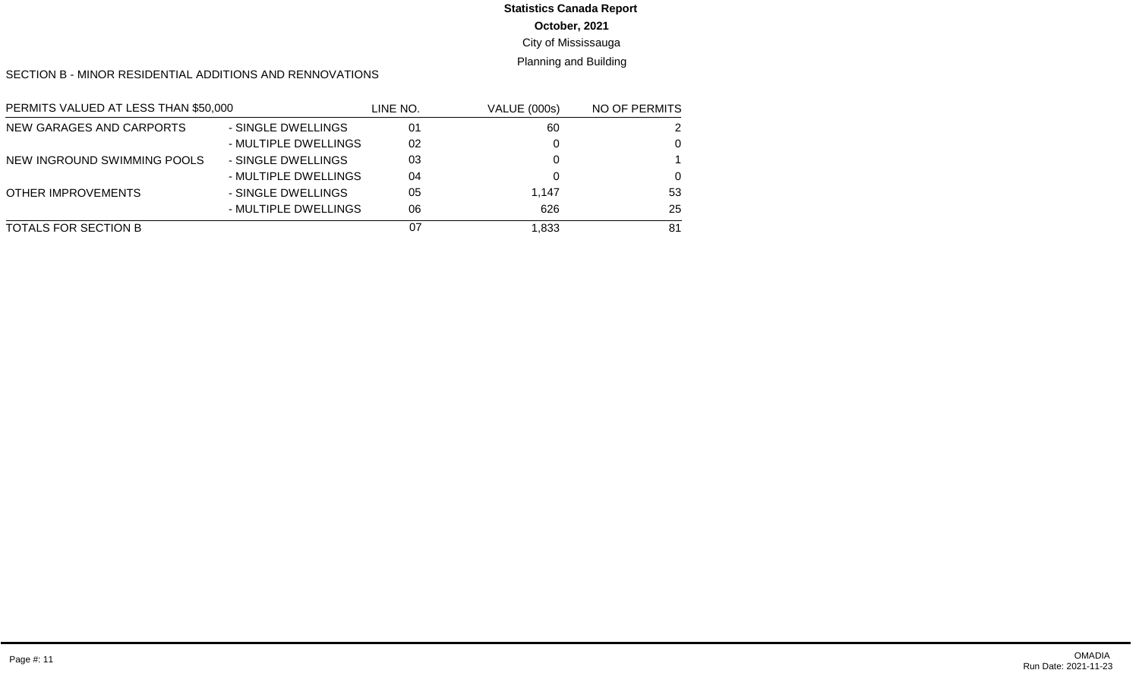# **Statistics Canada Report**

**October, 2021**

City of Mississauga

Planning and Building

SECTION B - MINOR RESIDENTIAL ADDITIONS AND RENNOVATIONS

| PERMITS VALUED AT LESS THAN \$50,000 |                      | LINE NO. | <b>VALUE (000s)</b> | NO OF PERMITS |
|--------------------------------------|----------------------|----------|---------------------|---------------|
| NEW GARAGES AND CARPORTS             | - SINGLE DWELLINGS   | 01       | 60                  | 2             |
|                                      | - MULTIPLE DWELLINGS | 02       |                     | $\Omega$      |
| NEW INGROUND SWIMMING POOLS          | - SINGLE DWELLINGS   | 03       |                     |               |
|                                      | - MULTIPLE DWELLINGS | 04       |                     | $\Omega$      |
| <b>OTHER IMPROVEMENTS</b>            | - SINGLE DWELLINGS   | 05       | 1,147               | 53            |
|                                      | - MULTIPLE DWELLINGS | 06       | 626                 | 25            |
| TOTALS FOR SECTION B                 |                      | 07       | 1.833               | 81            |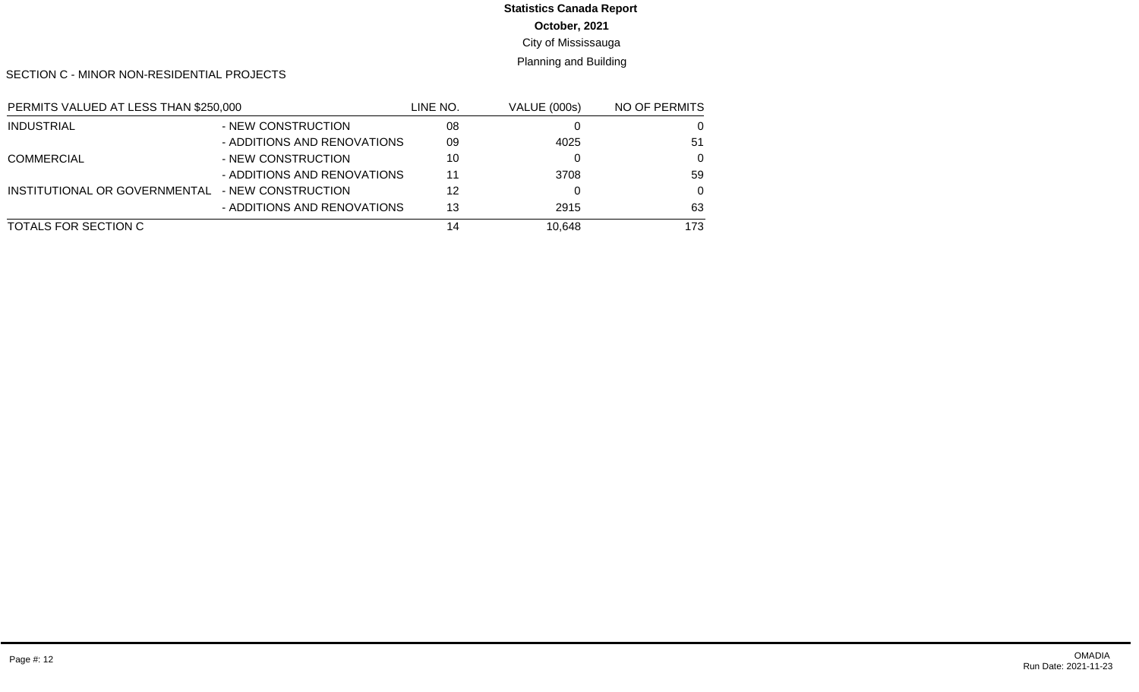# **Statistics Canada Report**

**October, 2021**

City of Mississauga

Planning and Building

SECTION C - MINOR NON-RESIDENTIAL PROJECTS

| PERMITS VALUED AT LESS THAN \$250,000 |                             | LINE NO. | <b>VALUE (000s)</b> | NO OF PERMITS |
|---------------------------------------|-----------------------------|----------|---------------------|---------------|
| <b>INDUSTRIAL</b>                     | - NEW CONSTRUCTION          | 08       |                     | 0             |
|                                       | - ADDITIONS AND RENOVATIONS | 09       | 4025                | -51           |
| <b>COMMERCIAL</b>                     | - NEW CONSTRUCTION          | 10       |                     | $\Omega$      |
|                                       | - ADDITIONS AND RENOVATIONS | 11       | 3708                | 59            |
| INSTITUTIONAL OR GOVERNMENTAL         | - NEW CONSTRUCTION          | 12       |                     | $\Omega$      |
|                                       | - ADDITIONS AND RENOVATIONS | 13       | 2915                | 63            |
| TOTALS FOR SECTION C                  |                             | 14       | 10.648              | 173           |